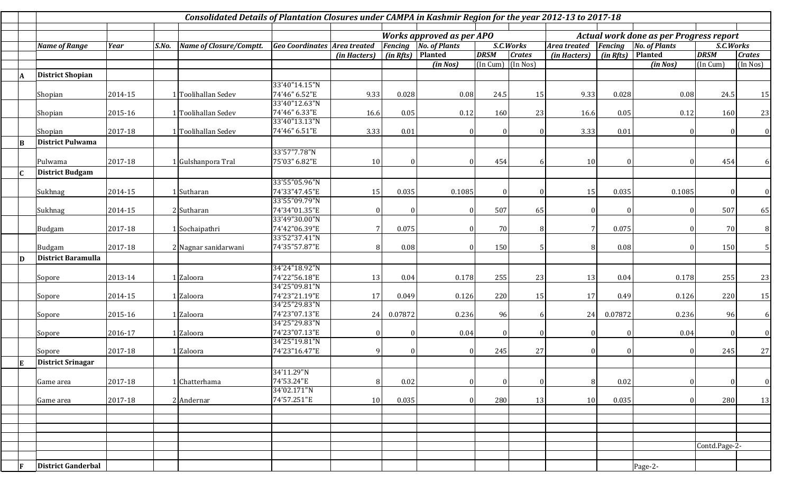|              | Consolidated Details of Plantation Closures under CAMPA in Kashmir Region for the year 2012-13 to 2017-18 |             |       |                                |                                     |                              |           |                                         |             |                  |                                |           |                      |               |                |  |
|--------------|-----------------------------------------------------------------------------------------------------------|-------------|-------|--------------------------------|-------------------------------------|------------------------------|-----------|-----------------------------------------|-------------|------------------|--------------------------------|-----------|----------------------|---------------|----------------|--|
|              | <b>Works approved as per APO</b>                                                                          |             |       |                                |                                     |                              |           | Actual work done as per Progress report |             |                  |                                |           |                      |               |                |  |
|              | <b>Name of Range</b>                                                                                      | <b>Year</b> | S.No. | <b>Name of Closure/Comptt.</b> | <b>Geo Coordinates Area treated</b> | <b>Fencing</b> No. of Plants |           |                                         | S.C.Works   |                  | Area treated<br><b>Fencing</b> |           | <b>No. of Plants</b> |               | S.C.Works      |  |
|              |                                                                                                           |             |       |                                |                                     | (in Hacters)                 | (in Rfts) | Planted                                 | <b>DRSM</b> | <b>Crates</b>    | (in Hacters)                   | (in Rfts) | Planted              | <b>DRSM</b>   | <b>Crates</b>  |  |
|              |                                                                                                           |             |       |                                |                                     |                              |           | (in Nos)                                | (In Cum)    | (In Nos)         |                                |           | (in Nos)             | (In Cum)      | (In Nos)       |  |
|              | <b>District Shopian</b>                                                                                   |             |       |                                |                                     |                              |           |                                         |             |                  |                                |           |                      |               |                |  |
|              |                                                                                                           |             |       |                                | 33'40"14.15"N                       |                              |           |                                         |             |                  |                                |           |                      |               |                |  |
|              | Shopian                                                                                                   | 2014-15     |       | Toolihallan Sedev              | 74'46" 6.52"E                       | 9.33                         | 0.028     | 0.08                                    | 24.5        | 15               | 9.33                           | 0.028     | 0.08                 | 24.5          | 15             |  |
|              |                                                                                                           |             |       |                                | 33'40"12.63"N                       |                              |           |                                         |             |                  |                                |           |                      |               |                |  |
|              | Shopian                                                                                                   | 2015-16     |       | <b>Toolihallan Sedev</b>       | 74'46" 6.33"E                       | 16.6                         | 0.05      | 0.12                                    | 160         | 23               | 16.6                           | 0.05      | 0.12                 | 160           | 23             |  |
|              |                                                                                                           |             |       |                                | 33'40"13.13"N                       |                              |           |                                         |             |                  |                                |           |                      |               |                |  |
|              | Shopian                                                                                                   | 2017-18     |       | <b>Toolihallan Sedev</b>       | 74'46" 6.51"E                       | 3.33                         | 0.01      |                                         | $\Omega$    | $\boldsymbol{0}$ | 3.33                           | 0.01      |                      |               | $\overline{0}$ |  |
| B            | <b>District Pulwama</b>                                                                                   |             |       |                                |                                     |                              |           |                                         |             |                  |                                |           |                      |               |                |  |
|              |                                                                                                           |             |       |                                | 33'57"7.78"N                        |                              |           |                                         |             |                  |                                |           |                      |               |                |  |
|              | Pulwama                                                                                                   | 2017-18     |       | Gulshanpora Tral               | 75'03" 6.82"E                       | 10                           |           |                                         | 454         | $\mathsf{f}$     | 10                             |           |                      | 454           | 6              |  |
|              |                                                                                                           |             |       |                                |                                     |                              |           |                                         |             |                  |                                |           |                      |               |                |  |
|              | <b>District Budgam</b>                                                                                    |             |       |                                |                                     |                              |           |                                         |             |                  |                                |           |                      |               |                |  |
|              |                                                                                                           |             |       |                                | 33'55"05.96"N                       |                              |           |                                         |             |                  |                                |           |                      |               |                |  |
|              | Sukhnag                                                                                                   | 2014-15     |       | Sutharan                       | 74'33"47.45"E<br>33'55"09.79"N      | 15                           | 0.035     | 0.1085                                  | $\theta$    | $\Omega$         | 15                             | 0.035     | 0.1085               |               | $\overline{0}$ |  |
|              |                                                                                                           |             |       | 2 Sutharan                     | 74'34"01.35"E                       | $\Omega$                     |           |                                         | 507         |                  |                                |           |                      | 507           |                |  |
|              | Sukhnag                                                                                                   | 2014-15     |       |                                | 33'49"30.00"N                       |                              |           |                                         |             | 65               |                                |           |                      |               | 65             |  |
|              | Budgam                                                                                                    | 2017-18     |       | Sochaipathri                   | 74'42"06.39"E                       |                              | 0.075     |                                         | 70          | 8                | 7                              | 0.075     |                      | 70            | 8 <sup>1</sup> |  |
|              |                                                                                                           |             |       |                                | 33'52"37.41"N                       |                              |           |                                         |             |                  |                                |           |                      |               |                |  |
|              | <b>Budgam</b>                                                                                             | 2017-18     |       | 2 Nagnar sanidarwani           | 74'35"57.87"E                       | 8                            | 0.08      |                                         | 150         | .5               |                                | 0.08      |                      | 150           | 5              |  |
|              | <b>District Baramulla</b>                                                                                 |             |       |                                |                                     |                              |           |                                         |             |                  |                                |           |                      |               |                |  |
| $\mathbf{D}$ |                                                                                                           |             |       |                                | 34'24"18.92"N                       |                              |           |                                         |             |                  |                                |           |                      |               |                |  |
|              |                                                                                                           | 2013-14     |       | Zaloora                        | 74'22"56.18"E                       | 13                           | 0.04      | 0.178                                   | 255         | 23               | 13                             | 0.04      | 0.178                | 255           |                |  |
|              | Sopore                                                                                                    |             |       |                                | 34'25"09.81"N                       |                              |           |                                         |             |                  |                                |           |                      |               | 23             |  |
|              | Sopore                                                                                                    | 2014-15     |       | Zaloora                        | 74'23"21.19"E                       | 17                           | 0.049     | 0.126                                   | 220         | 15               | 17                             | 0.49      | 0.126                | 220           | 15             |  |
|              |                                                                                                           |             |       |                                | 34'25"29.83"N                       |                              |           |                                         |             |                  |                                |           |                      |               |                |  |
|              | Sopore                                                                                                    | 2015-16     |       | Zaloora                        | 74'23"07.13"E                       | 24                           | 0.07872   | 0.236                                   | 96          | 6                | 24                             | 0.07872   | 0.236                | 96            | 6              |  |
|              |                                                                                                           |             |       |                                | 34'25"29.83"N                       |                              |           |                                         |             |                  |                                |           |                      |               |                |  |
|              | Sopore                                                                                                    | 2016-17     |       | Zaloora                        | 74'23"07.13"E                       | $\Omega$                     |           | 0.04                                    | $\Omega$    | $\sqrt{ }$       |                                |           | 0.04                 |               | $\overline{0}$ |  |
|              |                                                                                                           |             |       |                                | 34'25"19.81"N                       |                              |           |                                         |             |                  |                                |           |                      |               |                |  |
|              | Sopore                                                                                                    | 2017-18     |       | Zaloora                        | 74'23"16.47"E                       | q                            |           |                                         | 245         | 27               |                                |           |                      | 245           | 27             |  |
| Е            | <b>District Srinagar</b>                                                                                  |             |       |                                |                                     |                              |           |                                         |             |                  |                                |           |                      |               |                |  |
|              |                                                                                                           |             |       |                                | 34'11.29"N                          |                              |           |                                         |             |                  |                                |           |                      |               |                |  |
|              | Game area                                                                                                 | 2017-18     |       | Chatterhama                    | 74'53.24"E                          | 8                            | 0.02      |                                         | $\Omega$    | $\theta$         | 8                              | 0.02      |                      |               | 0              |  |
|              |                                                                                                           |             |       |                                | 34'02.171"N                         |                              |           |                                         |             |                  |                                |           |                      |               |                |  |
|              | Game area                                                                                                 | 2017-18     |       | 2 Andernar                     | 74'57.251"E                         | 10                           | 0.035     |                                         | 280         | 13               | 10                             | 0.035     |                      | 280           | 13             |  |
|              |                                                                                                           |             |       |                                |                                     |                              |           |                                         |             |                  |                                |           |                      |               |                |  |
|              |                                                                                                           |             |       |                                |                                     |                              |           |                                         |             |                  |                                |           |                      |               |                |  |
|              |                                                                                                           |             |       |                                |                                     |                              |           |                                         |             |                  |                                |           |                      |               |                |  |
|              |                                                                                                           |             |       |                                |                                     |                              |           |                                         |             |                  |                                |           |                      |               |                |  |
|              |                                                                                                           |             |       |                                |                                     |                              |           |                                         |             |                  |                                |           |                      | Contd.Page-2- |                |  |
|              |                                                                                                           |             |       |                                |                                     |                              |           |                                         |             |                  |                                |           |                      |               |                |  |
| F            | <b>District Ganderbal</b>                                                                                 |             |       |                                |                                     |                              |           |                                         |             |                  |                                |           | Page-2-              |               |                |  |